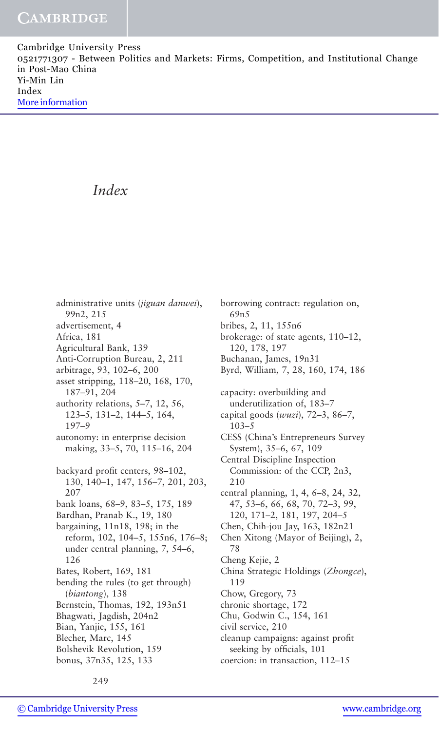Cambridge University Press 0521771307 - Between Politics and Markets: Firms, Competition, and Institutional Change in Post-Mao China Yi-Min Lin Index [More information](http://www.cambridge.org/0521771307)

# *Index*

administrative units (*jiguan danwei*), 99n2, 215 advertisement, 4 Africa, 181 Agricultural Bank, 139 Anti-Corruption Bureau, 2, 211 arbitrage, 93, 102–6, 200 asset stripping, 118–20, 168, 170, 187–91, 204 authority relations, 5–7, 12, 56, 123–5, 131–2, 144–5, 164, 197–9 autonomy: in enterprise decision making, 33–5, 70, 115–16, 204 backyard profit centers, 98–102, 130, 140–1, 147, 156–7, 201, 203, 207 bank loans, 68–9, 83–5, 175, 189 Bardhan, Pranab K., 19, 180 bargaining, 11n18, 198; in the reform, 102, 104–5, 155n6, 176–8; under central planning, 7, 54–6, 126 Bates, Robert, 169, 181 bending the rules (to get through) (*biantong*), 138 Bernstein, Thomas, 192, 193n51 Bhagwati, Jagdish, 204n2 Bian, Yanjie, 155, 161 Blecher, Marc, 145 Bolshevik Revolution, 159 bonus, 37n35, 125, 133

borrowing contract: regulation on, 69n5 bribes, 2, 11, 155n6 brokerage: of state agents, 110–12, 120, 178, 197 Buchanan, James, 19n31 Byrd, William, 7, 28, 160, 174, 186 capacity: overbuilding and underutilization of, 183–7 capital goods (*wuzi*), 72–3, 86–7, 103–5 CESS (China's Entrepreneurs Survey System), 35–6, 67, 109 Central Discipline Inspection Commission: of the CCP, 2n3, 210 central planning, 1, 4, 6–8, 24, 32, 47, 53–6, 66, 68, 70, 72–3, 99, 120, 171–2, 181, 197, 204–5 Chen, Chih-jou Jay, 163, 182n21 Chen Xitong (Mayor of Beijing), 2, 78 Cheng Kejie, 2 China Strategic Holdings (*Zhongce*), 119 Chow, Gregory, 73 chronic shortage, 172 Chu, Godwin C., 154, 161 civil service, 210 cleanup campaigns: against profit seeking by officials, 101 coercion: in transaction, 112–15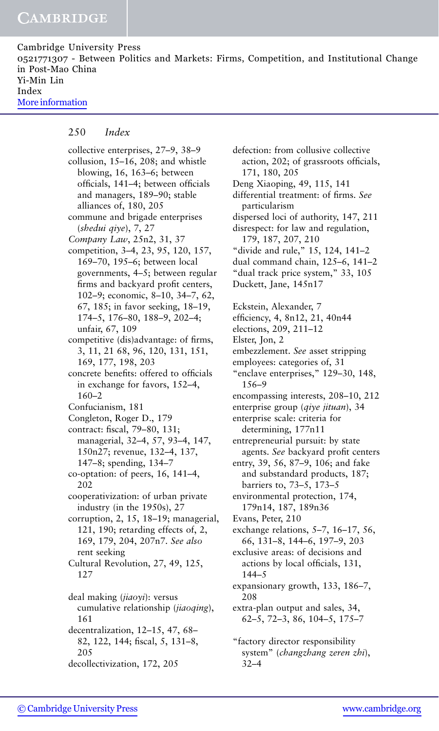Cambridge University Press 0521771307 - Between Politics and Markets: Firms, Competition, and Institutional Change in Post-Mao China Yi-Min Lin Index [More information](http://www.cambridge.org/0521771307)

#### 250 *Index*

collective enterprises, 27–9, 38–9 collusion, 15–16, 208; and whistle blowing, 16, 163–6; between officials, 141–4; between officials and managers, 189–90; stable alliances of, 180, 205 commune and brigade enterprises (*shedui qiye*), 7, 27 *Company Law*, 25n2, 31, 37 competition, 3–4, 23, 95, 120, 157, 169–70, 195–6; between local governments, 4–5; between regular firms and backyard profit centers, 102–9; economic, 8–10, 34–7, 62, 67, 185; in favor seeking, 18–19, 174–5, 176–80, 188–9, 202–4; unfair, 67, 109 competitive (dis)advantage: of firms, 3, 11, 21 68, 96, 120, 131, 151, 169, 177, 198, 203 concrete benefits: offered to officials in exchange for favors, 152–4, 160–2 Confucianism, 181 Congleton, Roger D., 179 contract: fiscal, 79–80, 131; managerial, 32–4, 57, 93–4, 147, 150n27; revenue, 132–4, 137, 147–8; spending, 134–7 co-optation: of peers, 16, 141–4, 202 cooperativization: of urban private industry (in the 1950s), 27 corruption, 2, 15, 18–19; managerial, 121, 190; retarding effects of, 2, 169, 179, 204, 207n7. *See also* rent seeking Cultural Revolution, 27, 49, 125, 127 deal making (*jiaoyi*): versus cumulative relationship (*jiaoqing*), 161 decentralization, 12–15, 47, 68– 82, 122, 144; fiscal, 5, 131–8, 205 decollectivization, 172, 205

defection: from collusive collective action, 202; of grassroots officials, 171, 180, 205 Deng Xiaoping, 49, 115, 141 differential treatment: of firms. *See* particularism dispersed loci of authority, 147, 211 disrespect: for law and regulation, 179, 187, 207, 210 "divide and rule," 15, 124, 141–2 dual command chain, 125–6, 141–2 "dual track price system," 33, 105 Duckett, Jane, 145n17 Eckstein, Alexander, 7 efficiency, 4, 8n12, 21, 40n44 elections, 209, 211–12 Elster, Jon, 2 embezzlement. *See* asset stripping employees: categories of, 31 "enclave enterprises," 129–30, 148, 156–9 encompassing interests, 208–10, 212 enterprise group (*qiye jituan*), 34 enterprise scale: criteria for determining, 177n11 entrepreneurial pursuit: by state agents. *See* backyard profit centers entry, 39, 56, 87–9, 106; and fake and substandard products, 187; barriers to, 73–5, 173–5 environmental protection, 174, 179n14, 187, 189n36 Evans, Peter, 210 exchange relations, 5–7, 16–17, 56, 66, 131–8, 144–6, 197–9, 203 exclusive areas: of decisions and actions by local officials, 131, 144–5 expansionary growth, 133, 186–7, 208 extra-plan output and sales, 34, 62–5, 72–3, 86, 104–5, 175–7 "factory director responsibility system" (*changzhang zeren zhi*),

32–4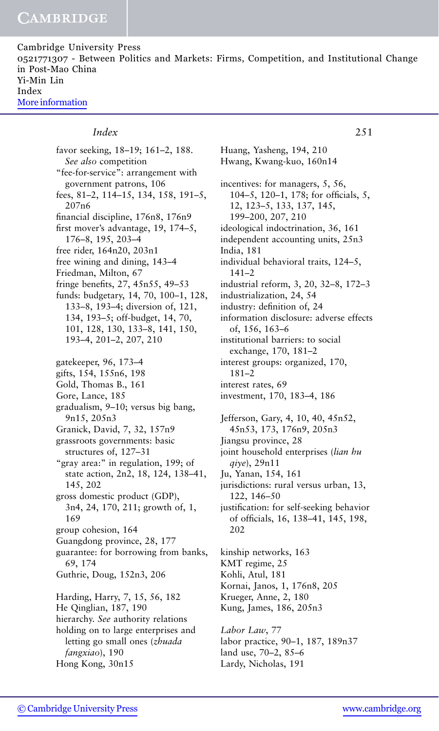Cambridge University Press 0521771307 - Between Politics and Markets: Firms, Competition, and Institutional Change in Post-Mao China Yi-Min Lin Index [More information](http://www.cambridge.org/0521771307)

### *Index* 251

favor seeking, 18–19; 161–2, 188. *See also* competition "fee-for-service": arrangement with government patrons, 106 fees, 81–2, 114–15, 134, 158, 191–5, 207n6 financial discipline, 176n8, 176n9 first mover's advantage, 19, 174–5, 176–8, 195, 203–4 free rider, 164n20, 203n1 free wining and dining, 143–4 Friedman, Milton, 67 fringe benefits, 27, 45n55, 49–53 funds: budgetary, 14, 70, 100–1, 128, 133–8, 193–4; diversion of, 121, 134, 193–5; off-budget, 14, 70, 101, 128, 130, 133–8, 141, 150, 193–4, 201–2, 207, 210 gatekeeper, 96, 173–4 gifts, 154, 155n6, 198 Gold, Thomas B., 161 Gore, Lance, 185 gradualism, 9–10; versus big bang, 9n15, 205n3 Granick, David, 7, 32, 157n9 grassroots governments: basic structures of, 127–31 "gray area:" in regulation, 199; of state action, 2n2, 18, 124, 138–41, 145, 202 gross domestic product (GDP), 3n4, 24, 170, 211; growth of, 1, 169 group cohesion, 164 Guangdong province, 28, 177 guarantee: for borrowing from banks, 69, 174 Guthrie, Doug, 152n3, 206 Harding, Harry, 7, 15, 56, 182 He Qinglian, 187, 190 hierarchy. *See* authority relations holding on to large enterprises and letting go small ones (*zhuada fangxiao*), 190 Hong Kong, 30n15

Huang, Yasheng, 194, 210 Hwang, Kwang-kuo, 160n14 incentives: for managers, 5, 56, 104–5, 120–1, 178; for officials, 5, 12, 123–5, 133, 137, 145, 199–200, 207, 210 ideological indoctrination, 36, 161 independent accounting units, 25n3 India, 181 individual behavioral traits, 124–5, 141–2 industrial reform, 3, 20, 32–8, 172–3 industrialization, 24, 54 industry: definition of, 24 information disclosure: adverse effects of, 156, 163–6 institutional barriers: to social exchange, 170, 181–2 interest groups: organized, 170, 181–2 interest rates, 69 investment, 170, 183–4, 186 Jefferson, Gary, 4, 10, 40, 45n52, 45n53, 173, 176n9, 205n3 Jiangsu province, 28 joint household enterprises (*lian hu qiye*), 29n11 Ju, Yanan, 154, 161

jurisdictions: rural versus urban, 13, 122, 146–50

justification: for self-seeking behavior of officials, 16, 138–41, 145, 198, 202

kinship networks, 163 KMT regime, 25 Kohli, Atul, 181 Kornai, Janos, 1, 176n8, 205 Krueger, Anne, 2, 180 Kung, James, 186, 205n3

*Labor Law*, 77 labor practice, 90–1, 187, 189n37 land use, 70–2, 85–6 Lardy, Nicholas, 191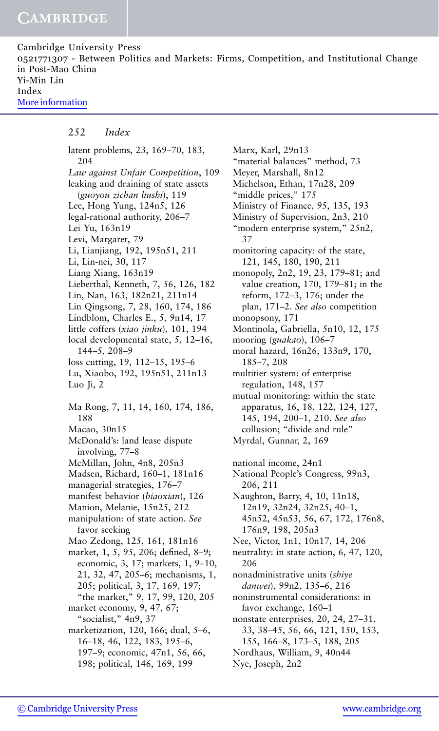Cambridge University Press 0521771307 - Between Politics and Markets: Firms, Competition, and Institutional Change in Post-Mao China Yi-Min Lin Index [More information](http://www.cambridge.org/0521771307)

#### 252 *Index*

latent problems, 23, 169–70, 183, 204 *Law against Unfair Competition*, 109 leaking and draining of state assets (*guoyou zichan liushi*), 119 Lee, Hong Yung, 124n5, 126 legal-rational authority, 206–7 Lei Yu, 163n19 Levi, Margaret, 79 Li, Lianjiang, 192, 195n51, 211 Li, Lin-nei, 30, 117 Liang Xiang, 163n19 Lieberthal, Kenneth, 7, 56, 126, 182 Lin, Nan, 163, 182n21, 211n14 Lin Qingsong, 7, 28, 160, 174, 186 Lindblom, Charles E., 5, 9n14, 17 little coffers (*xiao jinku*), 101, 194 local developmental state, 5, 12–16, 144–5, 208–9 loss cutting, 19, 112–15, 195–6 Lu, Xiaobo, 192, 195n51, 211n13 Luo Ji, 2 Ma Rong, 7, 11, 14, 160, 174, 186, 188 Macao, 30n15 McDonald's: land lease dispute involving, 77–8 McMillan, John, 4n8, 205n3 Madsen, Richard, 160–1, 181n16 managerial strategies, 176–7 manifest behavior (*biaoxian*), 126 Manion, Melanie, 15n25, 212 manipulation: of state action. *See* favor seeking Mao Zedong, 125, 161, 181n16 market, 1, 5, 95, 206; defined, 8–9; economic, 3, 17; markets, 1, 9–10, 21, 32, 47, 205–6; mechanisms, 1, 205; political, 3, 17, 169, 197; "the market," 9, 17, 99, 120, 205 market economy, 9, 47, 67; "socialist," 4n9, 37 marketization, 120, 166; dual, 5–6, 16–18, 46, 122, 183, 195–6, 197–9; economic, 47n1, 56, 66, 198; political, 146, 169, 199

Marx, Karl, 29n13 "material balances" method, 73 Meyer, Marshall, 8n12 Michelson, Ethan, 17n28, 209 "middle prices," 175 Ministry of Finance, 95, 135, 193 Ministry of Supervision, 2n3, 210 "modern enterprise system," 25n2, 37 monitoring capacity: of the state, 121, 145, 180, 190, 211 monopoly, 2n2, 19, 23, 179–81; and value creation, 170, 179–81; in the reform, 172–3, 176; under the plan, 171–2. *See also* competition monopsony, 171 Montinola, Gabriella, 5n10, 12, 175 mooring (*guakao*), 106–7 moral hazard, 16n26, 133n9, 170, 185–7, 208 multitier system: of enterprise regulation, 148, 157 mutual monitoring: within the state apparatus, 16, 18, 122, 124, 127, 145, 194, 200–1, 210. *See also* collusion; "divide and rule" Myrdal, Gunnar, 2, 169 national income, 24n1 National People's Congress, 99n3, 206, 211 Naughton, Barry, 4, 10, 11n18, 12n19, 32n24, 32n25, 40–1, 45n52, 45n53, 56, 67, 172, 176n8, 176n9, 198, 205n3 Nee, Victor, 1n1, 10n17, 14, 206 neutrality: in state action, 6, 47, 120, 206 nonadministrative units (*shiye danwei*), 99n2, 135–6, 216 noninstrumental considerations: in favor exchange, 160–1 nonstate enterprises, 20, 24, 27–31, 33, 38–45, 56, 66, 121, 150, 153, 155, 166–8, 173–5, 188, 205 Nordhaus, William, 9, 40n44 Nye, Joseph, 2n2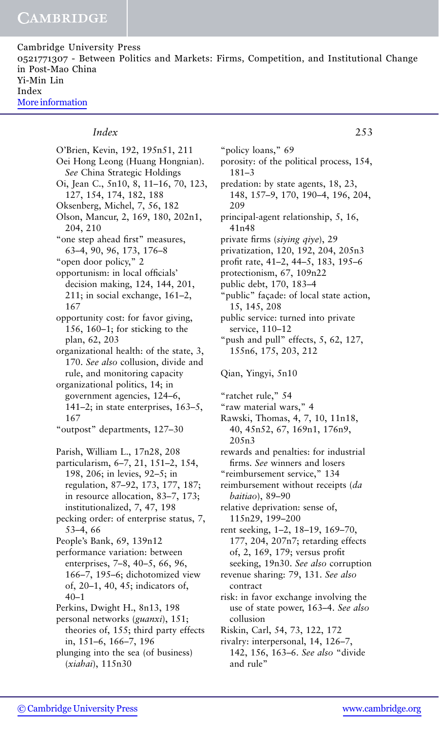Cambridge University Press 0521771307 - Between Politics and Markets: Firms, Competition, and Institutional Change in Post-Mao China Yi-Min Lin Index [More information](http://www.cambridge.org/0521771307)

#### *Index* 253

O'Brien, Kevin, 192, 195n51, 211 Oei Hong Leong (Huang Hongnian). *See* China Strategic Holdings Oi, Jean C., 5n10, 8, 11–16, 70, 123, 127, 154, 174, 182, 188 Oksenberg, Michel, 7, 56, 182 Olson, Mancur, 2, 169, 180, 202n1, 204, 210 "one step ahead first" measures, 63–4, 90, 96, 173, 176–8 "open door policy," 2 opportunism: in local officials' decision making, 124, 144, 201, 211; in social exchange, 161–2, 167 opportunity cost: for favor giving, 156, 160–1; for sticking to the plan, 62, 203 organizational health: of the state, 3, 170. *See also* collusion, divide and rule, and monitoring capacity organizational politics, 14; in government agencies, 124–6, 141–2; in state enterprises, 163–5, 167 "outpost" departments, 127–30 Parish, William L., 17n28, 208 particularism, 6–7, 21, 151–2, 154, 198, 206; in levies, 92–5; in regulation, 87–92, 173, 177, 187; in resource allocation, 83–7, 173; institutionalized, 7, 47, 198 pecking order: of enterprise status, 7, 53–4, 66 People's Bank, 69, 139n12 performance variation: between enterprises, 7–8, 40–5, 66, 96, 166–7, 195–6; dichotomized view of, 20–1, 40, 45; indicators of, 40–1 Perkins, Dwight H., 8n13, 198 personal networks (*guanxi*), 151; theories of, 155; third party effects in, 151–6, 166–7, 196 plunging into the sea (of business) (*xiahai*), 115n30

"policy loans," 69 porosity: of the political process, 154, 181–3 predation: by state agents, 18, 23, 148, 157–9, 170, 190–4, 196, 204, 209 principal-agent relationship, 5, 16, 41n48 private firms (*siying qiye*), 29 privatization, 120, 192, 204, 205n3 profit rate, 41–2, 44–5, 183, 195–6 protectionism, 67, 109n22 public debt, 170, 183–4 "public" façade: of local state action, 15, 145, 208 public service: turned into private service, 110–12 "push and pull" effects, 5, 62, 127, 155n6, 175, 203, 212 Qian, Yingyi, 5n10 "ratchet rule," 54 "raw material wars," 4 Rawski, Thomas, 4, 7, 10, 11n18, 40, 45n52, 67, 169n1, 176n9, 205n3 rewards and penalties: for industrial firms. *See* winners and losers "reimbursement service," 134 reimbursement without receipts (*da baitiao*), 89–90 relative deprivation: sense of, 115n29, 199–200 rent seeking, 1–2, 18–19, 169–70, 177, 204, 207n7; retarding effects of, 2, 169, 179; versus profit seeking, 19n30. *See also* corruption revenue sharing: 79, 131. *See also* contract risk: in favor exchange involving the use of state power, 163–4. *See also* collusion Riskin, Carl, 54, 73, 122, 172 rivalry: interpersonal, 14, 126–7, 142, 156, 163–6. *See also* "divide

and rule"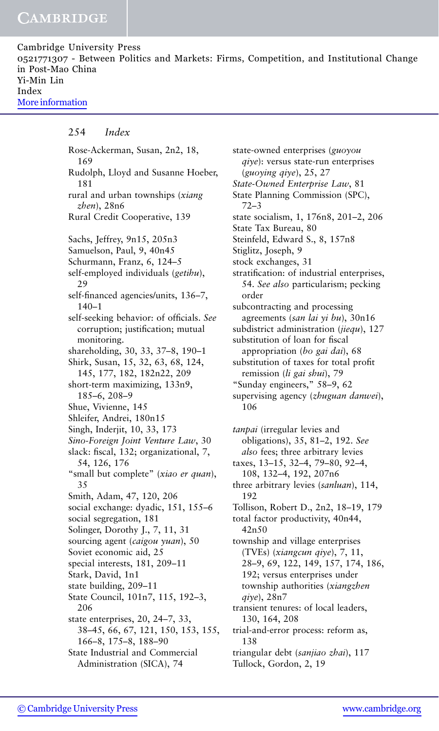Cambridge University Press 0521771307 - Between Politics and Markets: Firms, Competition, and Institutional Change in Post-Mao China Yi-Min Lin Index [More information](http://www.cambridge.org/0521771307)

#### 254 *Index*

Rose-Ackerman, Susan, 2n2, 18, 169 Rudolph, Lloyd and Susanne Hoeber, 181 rural and urban townships (*xiang zhen*), 28n6 Rural Credit Cooperative, 139 Sachs, Jeffrey, 9n15, 205n3 Samuelson, Paul, 9, 40n45 Schurmann, Franz, 6, 124–5 self-employed individuals (*getihu*), 29 self-financed agencies/units, 136–7, 140–1 self-seeking behavior: of officials. *See* corruption; justification; mutual monitoring. shareholding, 30, 33, 37–8, 190–1 Shirk, Susan, 15, 32, 63, 68, 124, 145, 177, 182, 182n22, 209 short-term maximizing, 133n9, 185–6, 208–9 Shue, Vivienne, 145 Shleifer, Andrei, 180n15 Singh, Inderjit, 10, 33, 173 *Sino-Foreign Joint Venture Law*, 30 slack: fiscal, 132; organizational, 7, 54, 126, 176 "small but complete" (*xiao er quan*), 35 Smith, Adam, 47, 120, 206 social exchange: dyadic, 151, 155–6 social segregation, 181 Solinger, Dorothy J., 7, 11, 31 sourcing agent (*caigou yuan*), 50 Soviet economic aid, 25 special interests, 181, 209–11 Stark, David, 1n1 state building, 209–11 State Council, 101n7, 115, 192–3, 206 state enterprises, 20, 24–7, 33, 38–45, 66, 67, 121, 150, 153, 155, 166–8, 175–8, 188–90 State Industrial and Commercial Administration (SICA), 74

state-owned enterprises (*guoyou qiye*): versus state-run enterprises (*guoying qiye*), 25, 27 *State-Owned Enterprise Law*, 81 State Planning Commission (SPC), 72–3 state socialism, 1, 176n8, 201–2, 206 State Tax Bureau, 80 Steinfeld, Edward S., 8, 157n8 Stiglitz, Joseph, 9 stock exchanges, 31 stratification: of industrial enterprises, 54. *See also* particularism; pecking order subcontracting and processing agreements (*san lai yi bu*), 30n16 subdistrict administration (*jiequ*), 127 substitution of loan for fiscal appropriation (*bo gai dai*), 68 substitution of taxes for total profit remission (*li gai shui*), 79 "Sunday engineers," 58–9, 62 supervising agency (*zhuguan danwei*), 106

*tanpai* (irregular levies and obligations), 35, 81–2, 192. *See also* fees; three arbitrary levies taxes, 13–15, 32–4, 79–80, 92–4, 108, 132–4, 192, 207n6 three arbitrary levies (*sanluan*), 114, 192 Tollison, Robert D., 2n2, 18–19, 179 total factor productivity, 40n44, 42n50 township and village enterprises (TVEs) (*xiangcun qiye*), 7, 11, 28–9, 69, 122, 149, 157, 174, 186, 192; versus enterprises under township authorities (*xiangzhen qiye*), 28n7 transient tenures: of local leaders, 130, 164, 208 trial-and-error process: reform as, 138 triangular debt (*sanjiao zhai*), 117

Tullock, Gordon, 2, 19